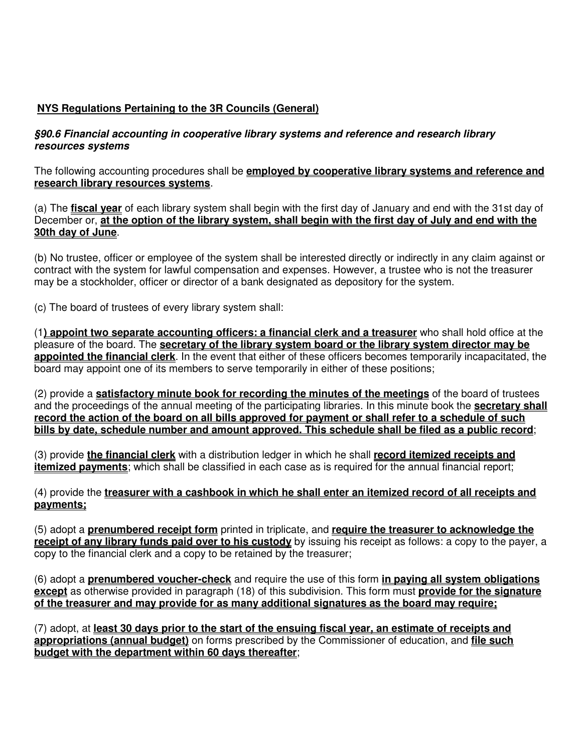# **NYS Regulations Pertaining to the 3R Councils (General)**

## **§90.6 Financial accounting in cooperative library systems and reference and research library resources systems**

The following accounting procedures shall be **employed by cooperative library systems and reference and research library resources systems**.

(a) The **fiscal year** of each library system shall begin with the first day of January and end with the 31st day of December or, **at the option of the library system, shall begin with the first day of July and end with the 30th day of June**.

(b) No trustee, officer or employee of the system shall be interested directly or indirectly in any claim against or contract with the system for lawful compensation and expenses. However, a trustee who is not the treasurer may be a stockholder, officer or director of a bank designated as depository for the system.

(c) The board of trustees of every library system shall:

(1**) appoint two separate accounting officers: a financial clerk and a treasurer** who shall hold office at the pleasure of the board. The **secretary of the library system board or the library system director may be appointed the financial clerk**. In the event that either of these officers becomes temporarily incapacitated, the board may appoint one of its members to serve temporarily in either of these positions;

(2) provide a **satisfactory minute book for recording the minutes of the meetings** of the board of trustees and the proceedings of the annual meeting of the participating libraries. In this minute book the **secretary shall record the action of the board on all bills approved for payment or shall refer to a schedule of such bills by date, schedule number and amount approved. This schedule shall be filed as a public record**;

(3) provide **the financial clerk** with a distribution ledger in which he shall **record itemized receipts and itemized payments**; which shall be classified in each case as is required for the annual financial report;

(4) provide the **treasurer with a cashbook in which he shall enter an itemized record of all receipts and payments;**

(5) adopt a **prenumbered receipt form** printed in triplicate, and **require the treasurer to acknowledge the receipt of any library funds paid over to his custody** by issuing his receipt as follows: a copy to the payer, a copy to the financial clerk and a copy to be retained by the treasurer;

(6) adopt a **prenumbered voucher-check** and require the use of this form **in paying all system obligations except** as otherwise provided in paragraph (18) of this subdivision. This form must **provide for the signature of the treasurer and may provide for as many additional signatures as the board may require;**

(7) adopt, at **least 30 days prior to the start of the ensuing fiscal year, an estimate of receipts and appropriations (annual budget)** on forms prescribed by the Commissioner of education, and **file such budget with the department within 60 days thereafter**;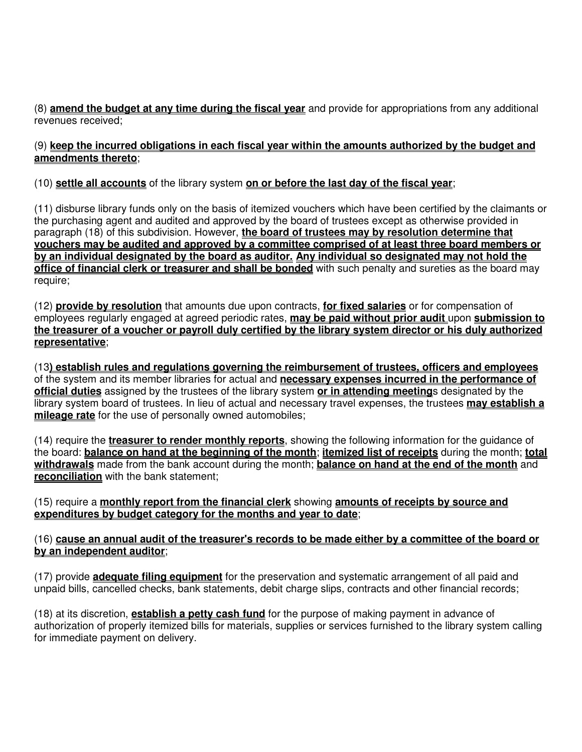(8) **amend the budget at any time during the fiscal year** and provide for appropriations from any additional revenues received;

### (9) **keep the incurred obligations in each fiscal year within the amounts authorized by the budget and amendments thereto**;

## (10) **settle all accounts** of the library system **on or before the last day of the fiscal year**;

(11) disburse library funds only on the basis of itemized vouchers which have been certified by the claimants or the purchasing agent and audited and approved by the board of trustees except as otherwise provided in paragraph (18) of this subdivision. However, **the board of trustees may by resolution determine that vouchers may be audited and approved by a committee comprised of at least three board members or by an individual designated by the board as auditor. Any individual so designated may not hold the office of financial clerk or treasurer and shall be bonded** with such penalty and sureties as the board may require;

(12) **provide by resolution** that amounts due upon contracts, **for fixed salaries** or for compensation of employees regularly engaged at agreed periodic rates, **may be paid without prior audit** upon **submission to the treasurer of a voucher or payroll duly certified by the library system director or his duly authorized representative**;

(13**) establish rules and regulations governing the reimbursement of trustees, officers and employees** of the system and its member libraries for actual and **necessary expenses incurred in the performance of official duties** assigned by the trustees of the library system **or in attending meeting**s designated by the library system board of trustees. In lieu of actual and necessary travel expenses, the trustees **may establish a mileage rate** for the use of personally owned automobiles;

(14) require the **treasurer to render monthly reports**, showing the following information for the guidance of the board: **balance on hand at the beginning of the month**; **itemized list of receipts** during the month; **total withdrawals** made from the bank account during the month; **balance on hand at the end of the month** and **reconciliation** with the bank statement;

## (15) require a **monthly report from the financial clerk** showing **amounts of receipts by source and expenditures by budget category for the months and year to date**;

## (16) **cause an annual audit of the treasurer's records to be made either by a committee of the board or by an independent auditor**;

(17) provide **adequate filing equipment** for the preservation and systematic arrangement of all paid and unpaid bills, cancelled checks, bank statements, debit charge slips, contracts and other financial records;

(18) at its discretion, **establish a petty cash fund** for the purpose of making payment in advance of authorization of properly itemized bills for materials, supplies or services furnished to the library system calling for immediate payment on delivery.